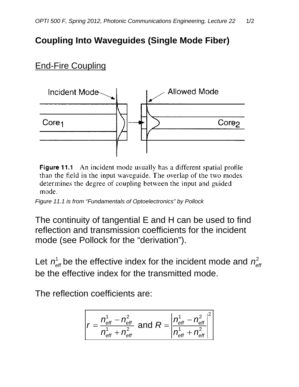## **Coupling Into Waveguides (Single Mode Fiber)**

## End-Fire Coupling



**Figure 11.1** An incident mode usually has a different spatial profile than the field in the input waveguide. The overlap of the two modes determines the degree of coupling between the input and guided mode.

*Figure 11.1 is from "Fundamentals of Optoelectronics" by Pollock*

The continuity of tangential E and H can be used to find reflection and transmission coefficients for the incident mode (see Pollock for the "derivation").

Let  $n_{\text{eff}}^1$  be the effective index for the incident mode and  $n_{\text{eff}}^2$ be the effective index for the transmitted mode.

The reflection coefficients are:

$$
r = \frac{n_{\text{eff}}^1 - n_{\text{eff}}^2}{n_{\text{eff}}^1 + n_{\text{eff}}^2} \text{ and } R = \left| \frac{n_{\text{eff}}^1 - n_{\text{eff}}^2}{n_{\text{eff}}^1 + n_{\text{eff}}^2} \right|^2
$$